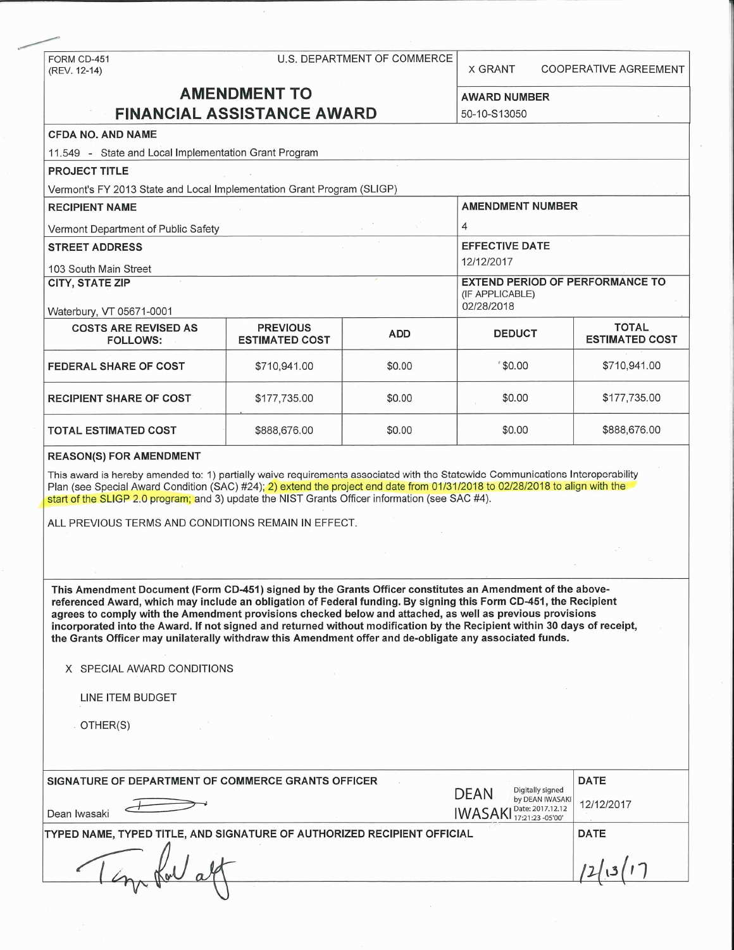### FORM CD-451 U.S. DEPARTMENT OF COMMERCE

(REV. 12-14) CO. CO. DETAILLERT OF COMMENCING X GRANT COOPERATIVE AGREEMENT

# **AMENDMENT TO**

**AWARD NUMBER** 

| <b>FINANCIAL ASSISTANCE AWARD</b>                                                                                                                                                                                                                                                                                                                                                                                                                                                                                                                                                 | 50-10-S13050                             |             |                                                                                                   |                                       |  |  |  |
|-----------------------------------------------------------------------------------------------------------------------------------------------------------------------------------------------------------------------------------------------------------------------------------------------------------------------------------------------------------------------------------------------------------------------------------------------------------------------------------------------------------------------------------------------------------------------------------|------------------------------------------|-------------|---------------------------------------------------------------------------------------------------|---------------------------------------|--|--|--|
| <b>CFDA NO. AND NAME</b>                                                                                                                                                                                                                                                                                                                                                                                                                                                                                                                                                          |                                          |             |                                                                                                   |                                       |  |  |  |
| 11.549 - State and Local Implementation Grant Program                                                                                                                                                                                                                                                                                                                                                                                                                                                                                                                             |                                          |             |                                                                                                   |                                       |  |  |  |
| <b>PROJECT TITLE</b>                                                                                                                                                                                                                                                                                                                                                                                                                                                                                                                                                              |                                          |             |                                                                                                   |                                       |  |  |  |
| Vermont's FY 2013 State and Local Implementation Grant Program (SLIGP)                                                                                                                                                                                                                                                                                                                                                                                                                                                                                                            |                                          |             |                                                                                                   |                                       |  |  |  |
| <b>RECIPIENT NAME</b>                                                                                                                                                                                                                                                                                                                                                                                                                                                                                                                                                             |                                          |             | <b>AMENDMENT NUMBER</b>                                                                           |                                       |  |  |  |
| Vermont Department of Public Safety                                                                                                                                                                                                                                                                                                                                                                                                                                                                                                                                               |                                          |             | 4                                                                                                 |                                       |  |  |  |
| <b>STREET ADDRESS</b><br>103 South Main Street                                                                                                                                                                                                                                                                                                                                                                                                                                                                                                                                    |                                          |             | <b>EFFECTIVE DATE</b><br>12/12/2017                                                               |                                       |  |  |  |
| <b>CITY, STATE ZIP</b>                                                                                                                                                                                                                                                                                                                                                                                                                                                                                                                                                            |                                          |             | <b>EXTEND PERIOD OF PERFORMANCE TO</b><br>(IF APPLICABLE)<br>02/28/2018                           |                                       |  |  |  |
| Waterbury, VT 05671-0001<br><b>COSTS ARE REVISED AS</b><br><b>FOLLOWS:</b>                                                                                                                                                                                                                                                                                                                                                                                                                                                                                                        | <b>PREVIOUS</b><br><b>ESTIMATED COST</b> | <b>ADD</b>  | <b>DEDUCT</b>                                                                                     | <b>TOTAL</b><br><b>ESTIMATED COST</b> |  |  |  |
| <b>FEDERAL SHARE OF COST</b>                                                                                                                                                                                                                                                                                                                                                                                                                                                                                                                                                      | \$710,941.00                             | \$0.00      | \$0.00                                                                                            | \$710,941.00                          |  |  |  |
| <b>RECIPIENT SHARE OF COST</b>                                                                                                                                                                                                                                                                                                                                                                                                                                                                                                                                                    | \$177,735.00                             | \$0.00      | \$0.00                                                                                            | \$177,735.00                          |  |  |  |
| TOTAL ESTIMATED COST                                                                                                                                                                                                                                                                                                                                                                                                                                                                                                                                                              | \$888,676.00                             | \$0.00      | \$0.00                                                                                            | \$888,676.00                          |  |  |  |
| <b>REASON(S) FOR AMENDMENT</b>                                                                                                                                                                                                                                                                                                                                                                                                                                                                                                                                                    |                                          |             |                                                                                                   |                                       |  |  |  |
| This award is hereby amended to: 1) partially waive requirements associated with the Statewide Communications Interoperability<br>Plan (see Special Award Condition (SAC) #24); 2) extend the project end date from 01/31/2018 to 02/28/2018 to align with the<br>start of the SLIGP 2.0 program; and 3) update the NIST Grants Officer information (see SAC #4).                                                                                                                                                                                                                 |                                          |             |                                                                                                   |                                       |  |  |  |
| ALL PREVIOUS TERMS AND CONDITIONS REMAIN IN EFFECT.                                                                                                                                                                                                                                                                                                                                                                                                                                                                                                                               |                                          |             |                                                                                                   |                                       |  |  |  |
|                                                                                                                                                                                                                                                                                                                                                                                                                                                                                                                                                                                   |                                          |             |                                                                                                   |                                       |  |  |  |
| This Amendment Document (Form CD-451) signed by the Grants Officer constitutes an Amendment of the above-<br>referenced Award, which may include an obligation of Federal funding. By signing this Form CD-451, the Recipient<br>agrees to comply with the Amendment provisions checked below and attached, as well as previous provisions<br>incorporated into the Award. If not signed and returned without modification by the Recipient within 30 days of receipt,<br>the Grants Officer may unilaterally withdraw this Amendment offer and de-obligate any associated funds. |                                          |             |                                                                                                   |                                       |  |  |  |
| X SPECIAL AWARD CONDITIONS                                                                                                                                                                                                                                                                                                                                                                                                                                                                                                                                                        |                                          |             |                                                                                                   |                                       |  |  |  |
| LINE ITEM BUDGET                                                                                                                                                                                                                                                                                                                                                                                                                                                                                                                                                                  |                                          |             |                                                                                                   |                                       |  |  |  |
| OTHER(S)                                                                                                                                                                                                                                                                                                                                                                                                                                                                                                                                                                          |                                          |             |                                                                                                   |                                       |  |  |  |
|                                                                                                                                                                                                                                                                                                                                                                                                                                                                                                                                                                                   |                                          |             |                                                                                                   |                                       |  |  |  |
| SIGNATURE OF DEPARTMENT OF COMMERCE GRANTS OFFICER                                                                                                                                                                                                                                                                                                                                                                                                                                                                                                                                |                                          | <b>DATE</b> |                                                                                                   |                                       |  |  |  |
| Dean Iwasaki                                                                                                                                                                                                                                                                                                                                                                                                                                                                                                                                                                      |                                          |             | Digitally signed<br><b>DEAN</b><br>by DEAN IWASAKI<br>Date: 2017.12.12<br>IWASAKI Date: 2011.2010 | 12/12/2017                            |  |  |  |
| TYPED NAME, TYPED TITLE, AND SIGNATURE OF AUTHORIZED RECIPIENT OFFICIAL                                                                                                                                                                                                                                                                                                                                                                                                                                                                                                           | DATE                                     |             |                                                                                                   |                                       |  |  |  |
|                                                                                                                                                                                                                                                                                                                                                                                                                                                                                                                                                                                   |                                          |             |                                                                                                   |                                       |  |  |  |

 $\mathcal{V} \rightarrow \mathcal{V}$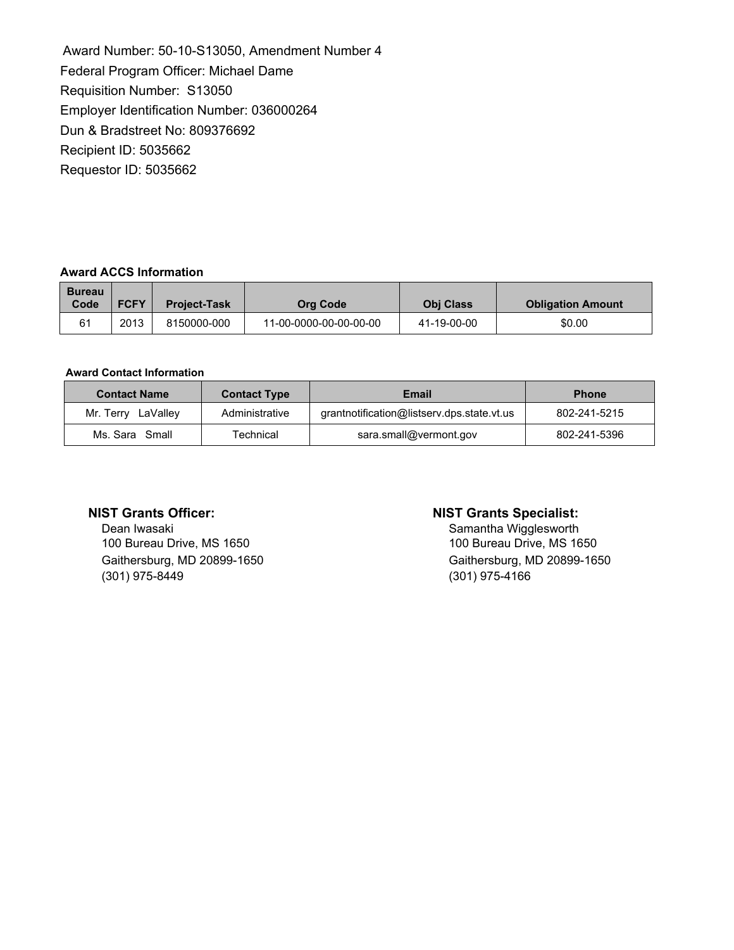Award Number: 50-10-S13050, Amendment Number 4 Federal Program Officer: Michael Dame Requisition Number: S13050 Employer Identification Number: 036000264 Dun & Bradstreet No: 809376692 Recipient ID: 5035662 Requestor ID: 5035662

### **Award ACCS Information**

| <b>Bureau</b><br>Code | <b>FCFY</b> | <b>Project-Task</b> | Org Code               | <b>Obi Class</b> | <b>Obligation Amount</b> |
|-----------------------|-------------|---------------------|------------------------|------------------|--------------------------|
| 61                    | 2013        | 8150000-000         | 11-00-0000-00-00-00-00 | 41-19-00-00      | \$0.00                   |

### **Award Contact Information**

| <b>Contact Name</b> | <b>Contact Type</b> | Email                                      | <b>Phone</b> |
|---------------------|---------------------|--------------------------------------------|--------------|
| Mr. Terry LaValley  | Administrative      | grantnotification@listserv.dps.state.vt.us | 802-241-5215 |
| Ms. Sara Small      | <b>Technical</b>    | sara.small@vermont.gov                     | 802-241-5396 |

Dean Iwasaki **Dean Iwasaki** Samantha Wigglesworth Samantha Wigglesworth<br>100 Bureau Drive, MS 1650 100 Bureau Drive, MS 1650 (301) 975-8449 (301) 975-4166

### **NIST Grants Officer: NIST Grants Specialist:**

Gaithersburg, MD 20899-1650 Gaithersburg, MD 20899-1650